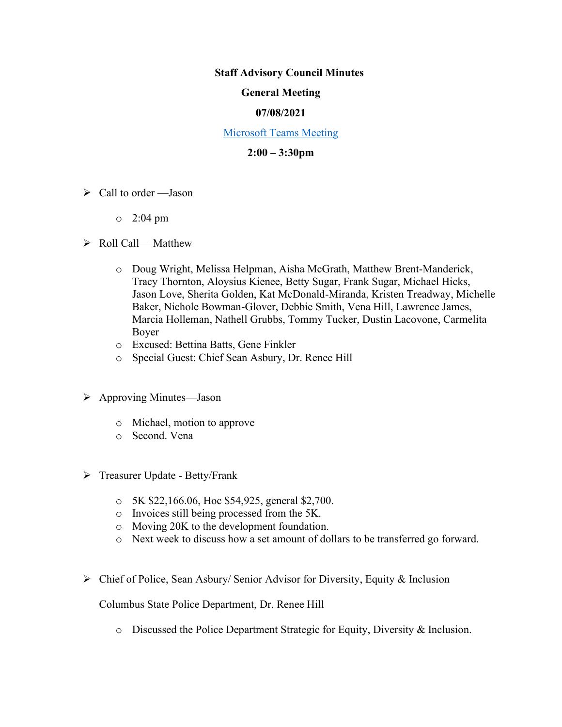#### **Staff Advisory Council Minutes**

### **General Meeting**

## **07/08/2021**

### [Microsoft Teams Meeting](https://nam05.safelinks.protection.outlook.com/ap/t-59584e83/?url=https%3A%2F%2Fteams.microsoft.com%2Fl%2Fmeetup-join%2F19%253ameeting_MzkxMmQzZTYtNGNiMi00YTJjLWI3MTMtOTlhMmNmOTE4Zjhj%2540thread.v2%2F0%3Fcontext%3D%257b%2522Tid%2522%253a%252260a9d377-c827-41a1-bbf0-1aad34db4c89%2522%252c%2522Oid%2522%253a%2522d493b17b-9cb3-43b8-b2df-d22f32aad747%2522%257d&data=02%7C01%7Cakienee1%40cscc.edu%7Cd9d721b99f4d408c215208d7647bc8db%7C60a9d377c82741a1bbf01aad34db4c89%7C0%7C0%7C637088355127916457&sdata=hlB7BeFFj4%2Fu5SHTbph%2BpYbfXevGFZ5zd4DxSsQlyzY%3D&reserved=0)

## **2:00 – 3:30pm**

- $\triangleright$  Call to order —Jason
	- o 2:04 pm

## ➢ Roll Call— Matthew

- o Doug Wright, Melissa Helpman, Aisha McGrath, Matthew Brent-Manderick, Tracy Thornton, Aloysius Kienee, Betty Sugar, Frank Sugar, Michael Hicks, Jason Love, Sherita Golden, Kat McDonald-Miranda, Kristen Treadway, Michelle Baker, Nichole Bowman-Glover, Debbie Smith, Vena Hill, Lawrence James, Marcia Holleman, Nathell Grubbs, Tommy Tucker, Dustin Lacovone, Carmelita Boyer
- o Excused: Bettina Batts, Gene Finkler
- o Special Guest: Chief Sean Asbury, Dr. Renee Hill
- ➢ Approving Minutes—Jason
	- o Michael, motion to approve
	- o Second. Vena
- ➢ Treasurer Update Betty/Frank
	- o 5K \$22,166.06, Hoc \$54,925, general \$2,700.
	- o Invoices still being processed from the 5K.
	- o Moving 20K to the development foundation.
	- o Next week to discuss how a set amount of dollars to be transferred go forward.
- ➢ Chief of Police, Sean Asbury/ Senior Advisor for Diversity, Equity & Inclusion

Columbus State Police Department, Dr. Renee Hill

o Discussed the Police Department Strategic for Equity, Diversity & Inclusion.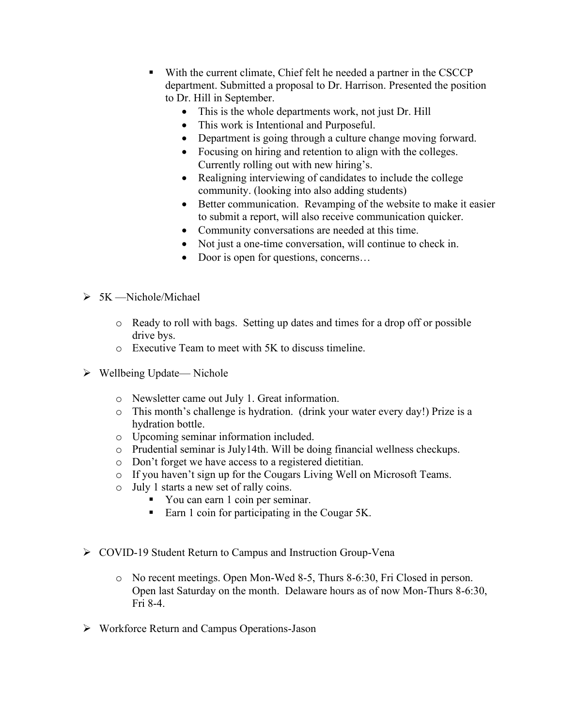- With the current climate, Chief felt he needed a partner in the CSCCP department. Submitted a proposal to Dr. Harrison. Presented the position to Dr. Hill in September.
	- This is the whole departments work, not just Dr. Hill
	- This work is Intentional and Purposeful.
	- Department is going through a culture change moving forward.
	- Focusing on hiring and retention to align with the colleges. Currently rolling out with new hiring's.
	- Realigning interviewing of candidates to include the college community. (looking into also adding students)
	- Better communication. Revamping of the website to make it easier to submit a report, will also receive communication quicker.
	- Community conversations are needed at this time.
	- Not just a one-time conversation, will continue to check in.
	- Door is open for questions, concerns...
- ➢ 5K —Nichole/Michael
	- o Ready to roll with bags. Setting up dates and times for a drop off or possible drive bys.
	- o Executive Team to meet with 5K to discuss timeline.
- ➢ Wellbeing Update— Nichole
	- o Newsletter came out July 1. Great information.
	- o This month's challenge is hydration. (drink your water every day!) Prize is a hydration bottle.
	- o Upcoming seminar information included.
	- o Prudential seminar is July14th. Will be doing financial wellness checkups.
	- o Don't forget we have access to a registered dietitian.
	- o If you haven't sign up for the Cougars Living Well on Microsoft Teams.
	- o July 1 starts a new set of rally coins.
		- You can earn 1 coin per seminar.
		- Earn 1 coin for participating in the Cougar 5K.
- ➢ COVID-19 Student Return to Campus and Instruction Group-Vena
	- o No recent meetings. Open Mon-Wed 8-5, Thurs 8-6:30, Fri Closed in person. Open last Saturday on the month. Delaware hours as of now Mon-Thurs 8-6:30, Fri 8-4.
- ➢ Workforce Return and Campus Operations-Jason